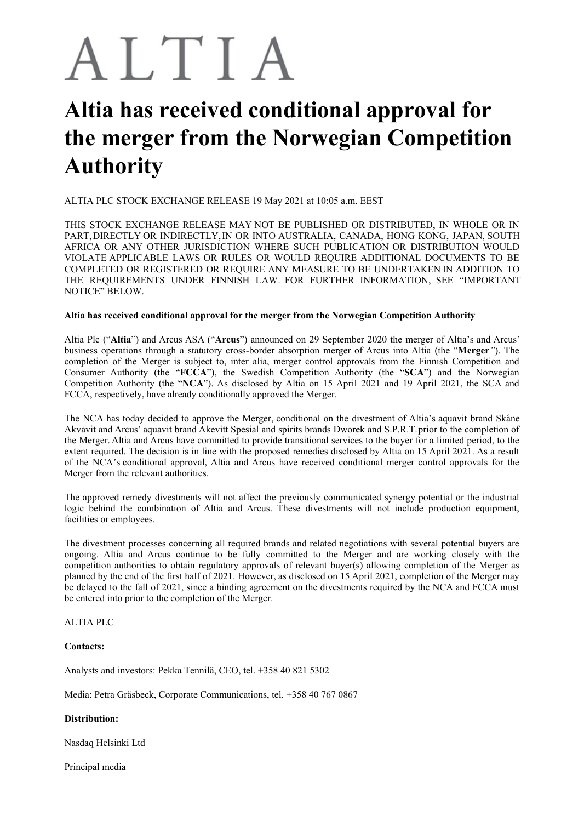# ALTIA

## **Altia has received conditional approval for the merger from the Norwegian Competition Authority**

ALTIA PLC STOCK EXCHANGE RELEASE 19 May 2021 at 10:05 a.m. EEST

THIS STOCK EXCHANGE RELEASE MAY NOT BE PUBLISHED OR DISTRIBUTED, IN WHOLE OR IN PART,DIRECTLY OR INDIRECTLY,IN OR INTO AUSTRALIA, CANADA, HONG KONG, JAPAN, SOUTH AFRICA OR ANY OTHER JURISDICTION WHERE SUCH PUBLICATION OR DISTRIBUTION WOULD VIOLATE APPLICABLE LAWS OR RULES OR WOULD REQUIRE ADDITIONAL DOCUMENTS TO BE COMPLETED OR REGISTERED OR REQUIRE ANY MEASURE TO BE UNDERTAKEN IN ADDITION TO THE REQUIREMENTS UNDER FINNISH LAW. FOR FURTHER INFORMATION, SEE "IMPORTANT NOTICE" BELOW.

#### **Altia has received conditional approval for the merger from the Norwegian Competition Authority**

Altia Plc ("**Altia**") and Arcus ASA ("**Arcus**") announced on 29 September 2020 the merger of Altia's and Arcus' business operations through a statutory cross-border absorption merger of Arcus into Altia (the "**Merger***"*). The completion of the Merger is subject to, inter alia, merger control approvals from the Finnish Competition and Consumer Authority (the "**FCCA**"), the Swedish Competition Authority (the "**SCA**") and the Norwegian Competition Authority (the "**NCA**"). As disclosed by Altia on 15 April 2021 and 19 April 2021, the SCA and FCCA, respectively, have already conditionally approved the Merger.

The NCA has today decided to approve the Merger, conditional on the divestment of Altia's aquavit brand Skåne Akvavit and Arcus' aquavit brand Akevitt Spesial and spirits brands Dworek and S.P.R.T.prior to the completion of the Merger. Altia and Arcus have committed to provide transitional services to the buyer for a limited period, to the extent required. The decision is in line with the proposed remedies disclosed by Altia on 15 April 2021. As a result of the NCA's conditional approval, Altia and Arcus have received conditional merger control approvals for the Merger from the relevant authorities.

The approved remedy divestments will not affect the previously communicated synergy potential or the industrial logic behind the combination of Altia and Arcus. These divestments will not include production equipment, facilities or employees.

The divestment processes concerning all required brands and related negotiations with several potential buyers are ongoing. Altia and Arcus continue to be fully committed to the Merger and are working closely with the competition authorities to obtain regulatory approvals of relevant buyer(s) allowing completion of the Merger as planned by the end of the first half of 2021. However, as disclosed on 15 April 2021, completion of the Merger may be delayed to the fall of 2021, since a binding agreement on the divestments required by the NCA and FCCA must be entered into prior to the completion of the Merger.

### ALTIA PLC

#### **Contacts:**

Analysts and investors: Pekka Tennilä, CEO, tel. +358 40 821 5302

Media: Petra Gräsbeck, Corporate Communications, tel. +358 40 767 0867

#### **Distribution:**

Nasdaq Helsinki Ltd

Principal media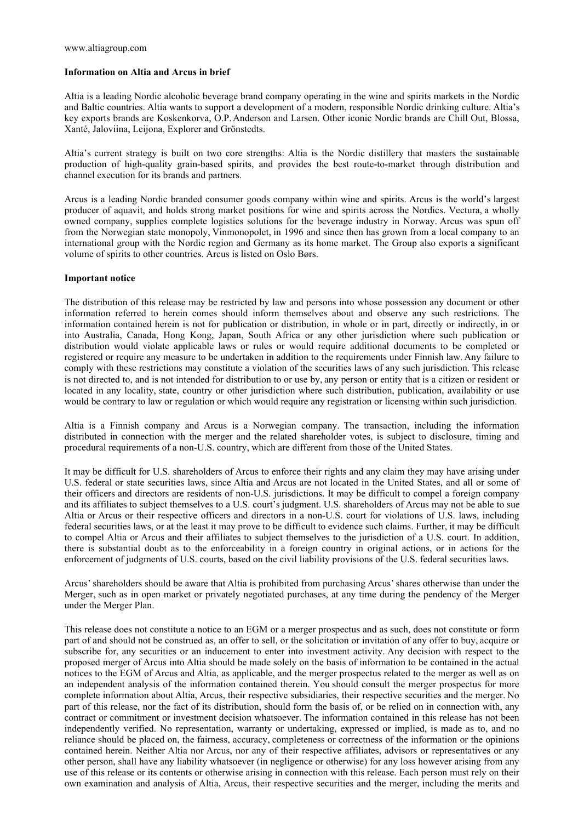#### **Information on Altia and Arcus in brief**

Altia is a leading Nordic alcoholic beverage brand company operating in the wine and spirits markets in the Nordic and Baltic countries. Altia wants to support a development of a modern, responsible Nordic drinking culture. Altia's key exports brands are Koskenkorva, O.P.Anderson and Larsen. Other iconic Nordic brands are Chill Out, Blossa, Xanté, Jaloviina, Leijona, Explorer and Grönstedts.

Altia's current strategy is built on two core strengths: Altia is the Nordic distillery that masters the sustainable production of high-quality grain-based spirits, and provides the best route-to-market through distribution and channel execution for its brands and partners.

Arcus is a leading Nordic branded consumer goods company within wine and spirits. Arcus is the world's largest producer of aquavit, and holds strong market positions for wine and spirits across the Nordics. Vectura, a wholly owned company, supplies complete logistics solutions for the beverage industry in Norway. Arcus was spun off from the Norwegian state monopoly, Vinmonopolet, in 1996 and since then has grown from a local company to an international group with the Nordic region and Germany as its home market. The Group also exports a significant volume of spirits to other countries. Arcus is listed on Oslo Børs.

#### **Important notice**

The distribution of this release may be restricted by law and persons into whose possession any document or other information referred to herein comes should inform themselves about and observe any such restrictions. The information contained herein is not for publication or distribution, in whole or in part, directly or indirectly, in or into Australia, Canada, Hong Kong, Japan, South Africa or any other jurisdiction where such publication or distribution would violate applicable laws or rules or would require additional documents to be completed or registered or require any measure to be undertaken in addition to the requirements under Finnish law. Any failure to comply with these restrictions may constitute a violation of the securities laws of any such jurisdiction. This release is not directed to, and is not intended for distribution to or use by, any person or entity that is a citizen or resident or located in any locality, state, country or other jurisdiction where such distribution, publication, availability or use would be contrary to law or regulation or which would require any registration or licensing within such jurisdiction.

Altia is a Finnish company and Arcus is a Norwegian company. The transaction, including the information distributed in connection with the merger and the related shareholder votes, is subject to disclosure, timing and procedural requirements of a non-U.S. country, which are different from those of the United States.

It may be difficult for U.S. shareholders of Arcus to enforce their rights and any claim they may have arising under U.S. federal or state securities laws, since Altia and Arcus are not located in the United States, and all or some of their officers and directors are residents of non-U.S. jurisdictions. It may be difficult to compel a foreign company and its affiliates to subject themselves to a U.S. court's judgment. U.S. shareholders of Arcus may not be able to sue Altia or Arcus or their respective officers and directors in a non-U.S. court for violations of U.S. laws, including federal securities laws, or at the least it may prove to be difficult to evidence such claims. Further, it may be difficult to compel Altia or Arcus and their affiliates to subject themselves to the jurisdiction of a U.S. court. In addition, there is substantial doubt as to the enforceability in a foreign country in original actions, or in actions for the enforcement of judgments of U.S. courts, based on the civil liability provisions of the U.S. federal securities laws.

Arcus'shareholders should be aware that Altia is prohibited from purchasing Arcus'shares otherwise than under the Merger, such as in open market or privately negotiated purchases, at any time during the pendency of the Merger under the Merger Plan.

This release does not constitute a notice to an EGM or a merger prospectus and as such, does not constitute or form part of and should not be construed as, an offer to sell, or the solicitation or invitation of any offer to buy, acquire or subscribe for, any securities or an inducement to enter into investment activity. Any decision with respect to the proposed merger of Arcus into Altia should be made solely on the basis of information to be contained in the actual notices to the EGM of Arcus and Altia, as applicable, and the merger prospectus related to the merger as well as on an independent analysis of the information contained therein. You should consult the merger prospectus for more complete information about Altia, Arcus, their respective subsidiaries, their respective securities and the merger. No part of this release, nor the fact of its distribution, should form the basis of, or be relied on in connection with, any contract or commitment or investment decision whatsoever. The information contained in this release has not been independently verified. No representation, warranty or undertaking, expressed or implied, is made as to, and no reliance should be placed on, the fairness, accuracy, completeness or correctness of the information or the opinions contained herein. Neither Altia nor Arcus, nor any of their respective affiliates, advisors or representatives or any other person, shall have any liability whatsoever (in negligence or otherwise) for any loss however arising from any use of this release or its contents or otherwise arising in connection with this release. Each person must rely on their own examination and analysis of Altia, Arcus, their respective securities and the merger, including the merits and